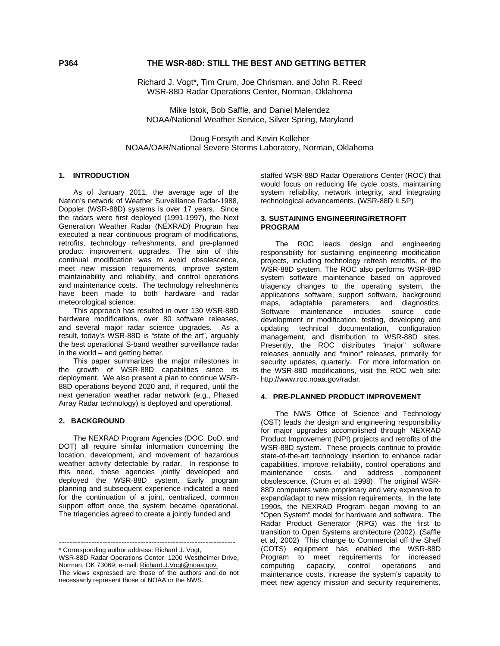# **P364 THE WSR-88D: STILL THE BEST AND GETTING BETTER**

 Richard J. Vogt\*, Tim Crum, Joe Chrisman, and John R. Reed WSR-88D Radar Operations Center, Norman, Oklahoma

 Mike Istok, Bob Saffle, and Daniel Melendez NOAA/National Weather Service, Silver Spring, Maryland

Doug Forsyth and Kevin Kelleher NOAA/OAR/National Severe Storms Laboratory, Norman, Oklahoma

#### **1. INTRODUCTION**

As of January 2011, the average age of the Nation's network of Weather Surveillance Radar-1988, Doppler (WSR-88D) systems is over 17 years. Since the radars were first deployed (1991-1997), the Next Generation Weather Radar (NEXRAD) Program has executed a near continuous program of modifications, retrofits, technology refreshments, and pre-planned product improvement upgrades. The aim of this continual modification was to avoid obsolescence, meet new mission requirements, improve system maintainability and reliability, and control operations and maintenance costs. The technology refreshments have been made to both hardware and radar meteorological science.

This approach has resulted in over 130 WSR-88D hardware modifications, over 80 software releases, and several major radar science upgrades. As a result, today's WSR-88D is "state of the art", arguably the best operational S-band weather surveillance radar in the world – and getting better.

This paper summarizes the major milestones in the growth of WSR-88D capabilities since its deployment. We also present a plan to continue WSR-88D operations beyond 2020 and, if required, until the next generation weather radar network (e.g., Phased Array Radar technology) is deployed and operational.

#### **2. BACKGROUND**

The NEXRAD Program Agencies (DOC, DoD, and DOT) all require similar information concerning the location, development, and movement of hazardous weather activity detectable by radar. In response to this need, these agencies jointly developed and deployed the WSR-88D system. Early program planning and subsequent experience indicated a need for the continuation of a joint, centralized, common support effort once the system became operational. The triagencies agreed to create a jointly funded and

----------------------------------------------------------------- \* Corresponding author address: Richard J. Vogt,

staffed WSR-88D Radar Operations Center (ROC) that would focus on reducing life cycle costs, maintaining system reliability, network integrity, and integrating technological advancements. (WSR-88D ILSP)

#### **3. SUSTAINING ENGINEERING/RETROFIT PROGRAM**

The ROC leads design and engineering responsibility for sustaining engineering modification projects, including technology refresh retrofits, of the WSR-88D system. The ROC also performs WSR-88D system software maintenance based on approved triagency changes to the operating system, the applications software, support software, background maps, adaptable parameters, and diagnostics.<br>Software maintenance includes source code Software maintenance includes source code development or modification, testing, developing and updating technical documentation, configuration management, and distribution to WSR-88D sites. Presently, the ROC distributes "major" software releases annually and "minor" releases, primarily for security updates, quarterly. For more information on the WSR-88D modifications, visit the ROC web site: http://www.roc.noaa.gov/radar.

#### **4. PRE-PLANNED PRODUCT IMPROVEMENT**

 The NWS Office of Science and Technology (OST) leads the design and engineering responsibility for major upgrades accomplished through NEXRAD Product Improvement (NPI) projects and retrofits of the WSR-88D system. These projects continue to provide state-of-the-art technology insertion to enhance radar capabilities, improve reliability, control operations and maintenance costs, and address component obsolescence. (Crum et al, 1998) The original WSR-88D computers were proprietary and very expensive to expand/adapt to new mission requirements. In the late 1990s, the NEXRAD Program began moving to an "Open System" model for hardware and software. The Radar Product Generator (RPG) was the first to transition to Open Systems architecture (2002). (Saffle et al, 2002) This change to Commercial off the Shelf (COTS) equipment has enabled the WSR-88D Program to meet requirements for increased computing capacity, control operations and maintenance costs, increase the system's capacity to meet new agency mission and security requirements,

WSR-88D Radar Operations Center, 1200 Westheimer Drive, Norman, OK 73069; e-mail: Richard.J.Vogt@noaa.gov. The views expressed are those of the authors and do not necessarily represent those of NOAA or the NWS.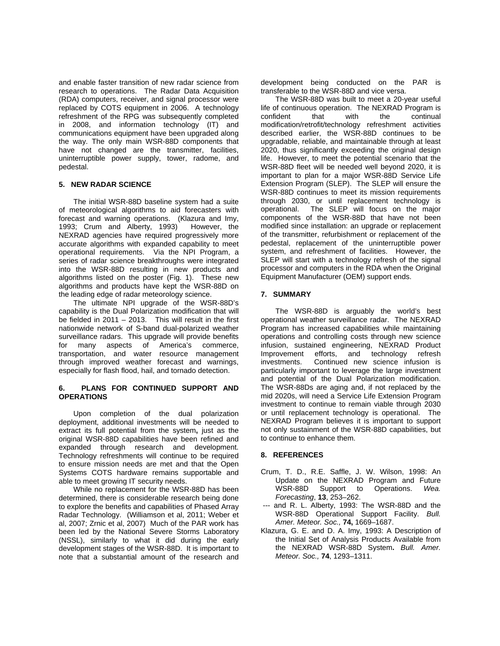and enable faster transition of new radar science from research to operations. The Radar Data Acquisition (RDA) computers, receiver, and signal processor were replaced by COTS equipment in 2006. A technology refreshment of the RPG was subsequently completed in 2008, and information technology (IT) and communications equipment have been upgraded along the way. The only main WSR-88D components that have not changed are the transmitter, facilities, uninterruptible power supply, tower, radome, and pedestal.

## **5. NEW RADAR SCIENCE**

 The initial WSR-88D baseline system had a suite of meteorological algorithms to aid forecasters with forecast and warning operations. (Klazura and Imy, 1993; Crum and Alberty, 1993) However, the NEXRAD agencies have required progressively more accurate algorithms with expanded capability to meet operational requirements. Via the NPI Program, a series of radar science breakthroughs were integrated into the WSR-88D resulting in new products and algorithms listed on the poster (Fig. 1). These new algorithms and products have kept the WSR-88D on the leading edge of radar meteorology science.

 The ultimate NPI upgrade of the WSR-88D's capability is the Dual Polarization modification that will be fielded in 2011 – 2013. This will result in the first nationwide network of S-band dual-polarized weather surveillance radars. This upgrade will provide benefits for many aspects of America's commerce, transportation, and water resource management through improved weather forecast and warnings, especially for flash flood, hail, and tornado detection.

## **6. PLANS FOR CONTINUED SUPPORT AND OPERATIONS**

Upon completion of the dual polarization deployment, additional investments will be needed to extract its full potential from the system**,** just as the original WSR-88D capabilities have been refined and expanded through research and development. Technology refreshments will continue to be required to ensure mission needs are met and that the Open Systems COTS hardware remains supportable and able to meet growing IT security needs.

 While no replacement for the WSR-88D has been determined, there is considerable research being done to explore the benefits and capabilities of Phased Array Radar Technology. (Williamson et al, 2011; Weber et al, 2007; Zrnic et al, 2007) Much of the PAR work has been led by the National Severe Storms Laboratory (NSSL), similarly to what it did during the early development stages of the WSR-88D. It is important to note that a substantial amount of the research and

development being conducted on the PAR is transferable to the WSR-88D and vice versa.

 The WSR-88D was built to meet a 20-year useful life of continuous operation. The NEXRAD Program is confident that with the continual modification/retrofit/technology refreshment activities described earlier, the WSR-88D continues to be upgradable, reliable, and maintainable through at least 2020, thus significantly exceeding the original design life. However, to meet the potential scenario that the WSR-88D fleet will be needed well beyond 2020, it is important to plan for a major WSR-88D Service Life Extension Program (SLEP). The SLEP will ensure the WSR-88D continues to meet its mission requirements through 2030, or until replacement technology is operational. The SLEP will focus on the major components of the WSR-88D that have not been modified since installation: an upgrade or replacement of the transmitter, refurbishment or replacement of the pedestal, replacement of the uninterruptible power system, and refreshment of facilities. However, the SLEP will start with a technology refresh of the signal processor and computers in the RDA when the Original Equipment Manufacturer (OEM) support ends.

## **7. SUMMARY**

 The WSR-88D is arguably the world's best operational weather surveillance radar. The NEXRAD Program has increased capabilities while maintaining operations and controlling costs through new science infusion, sustained engineering, NEXRAD Product Improvement efforts, and technology refresh investments. Continued new science infusion is particularly important to leverage the large investment and potential of the Dual Polarization modification. The WSR-88Ds are aging and, if not replaced by the mid 2020s, will need a Service Life Extension Program investment to continue to remain viable through 2030 or until replacement technology is operational. The NEXRAD Program believes it is important to support not only sustainment of the WSR-88D capabilities, but to continue to enhance them.

## **8. REFERENCES**

- Crum, T. D., R.E. Saffle, J. W. Wilson, 1998: An Update on the NEXRAD Program and Future WSR-88D Support to Operations. *Wea. Forecasting*, **13**, 253–262.
- --- and R. L. Alberty, 1993: The WSR-88D and the WSR-88D Operational Support Facility. *Bull. Amer. Meteor. Soc.,* **74,** 1669–1687.
- Klazura, G. E. and D. A. Imy, 1993: A Description of the Initial Set of Analysis Products Available from the NEXRAD WSR-88D System**.** *Bull. Amer. Meteor. Soc.,* **74**, 1293–1311.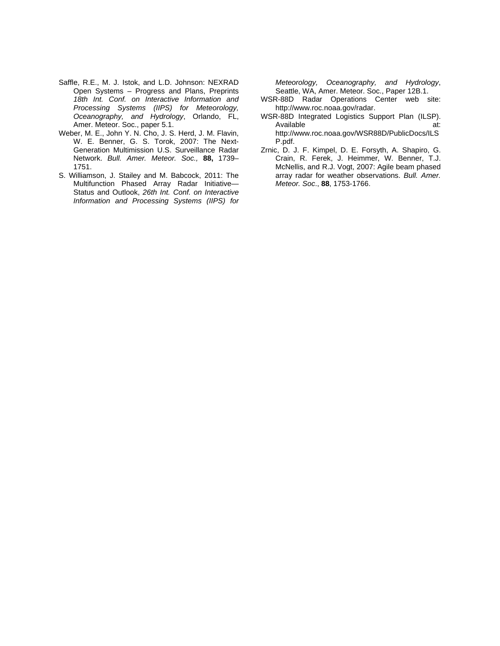- Saffle, R.E., M. J. Istok, and L.D. Johnson: NEXRAD Open Systems – Progress and Plans, Preprints *18th Int. Conf. on Interactive Information and Processing Systems (IIPS) for Meteorology, Oceanography, and Hydrology*, Orlando, FL, Amer. Meteor. Soc., paper 5.1.
- Weber, M. E., John Y. N. Cho, J. S. Herd, J. M. Flavin, W. E. Benner, G. S. Torok, 2007: The Next-Generation Multimission U.S. Surveillance Radar Network. *Bull. Amer. Meteor. Soc.,* **88,** 1739– 1751.
- S. Williamson, J. Stailey and M. Babcock, 2011: The Multifunction Phased Array Radar Initiative— Status and Outlook, *26th Int. Conf. on Interactive Information and Processing Systems (IIPS) for*

*Meteorology, Oceanography, and Hydrology*, Seattle, WA, Amer. Meteor. Soc., Paper 12B.1.

- WSR-88D Radar Operations Center web site: http://www.roc.noaa.gov/radar.
- WSR-88D Integrated Logistics Support Plan (ILSP). Available at: at: http://www.roc.noaa.gov/WSR88D/PublicDocs/ILS P.pdf.
- Zrnic, D. J. F. Kimpel, D. E. Forsyth, A. Shapiro, G. Crain, R. Ferek, J. Heimmer, W. Benner, T.J. McNellis, and R.J. Vogt, 2007: Agile beam phased array radar for weather observations. *Bull. Amer. Meteor. Soc*., **88**, 1753-1766.